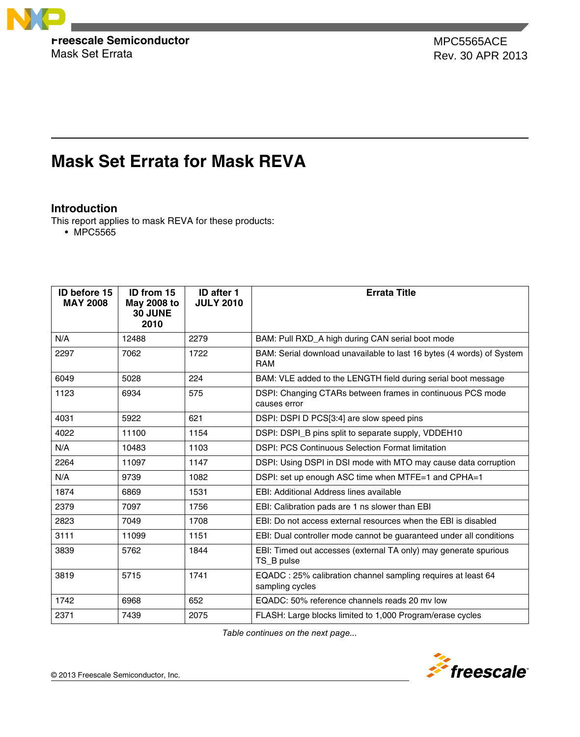

Mask Set Errata Rev. 30 APR 2013 Rev. 30 APR 2013MPC5565ACE

# **Mask Set Errata for Mask REVA**

# **Introduction**

This report applies to mask REVA for these products:

• MPC5565

| <b>ID before 15</b><br><b>MAY 2008</b> | ID from 15<br>May 2008 to<br>30 JUNE<br>2010 | <b>ID after 1</b><br><b>JULY 2010</b> | <b>Errata Title</b>                                                                 |
|----------------------------------------|----------------------------------------------|---------------------------------------|-------------------------------------------------------------------------------------|
| N/A                                    | 12488                                        | 2279                                  | BAM: Pull RXD_A high during CAN serial boot mode                                    |
| 2297                                   | 7062                                         | 1722                                  | BAM: Serial download unavailable to last 16 bytes (4 words) of System<br><b>RAM</b> |
| 6049                                   | 5028                                         | 224                                   | BAM: VLE added to the LENGTH field during serial boot message                       |
| 1123                                   | 6934                                         | 575                                   | DSPI: Changing CTARs between frames in continuous PCS mode<br>causes error          |
| 4031                                   | 5922                                         | 621                                   | DSPI: DSPI D PCS[3:4] are slow speed pins                                           |
| 4022                                   | 11100                                        | 1154                                  | DSPI: DSPI_B pins split to separate supply, VDDEH10                                 |
| N/A                                    | 10483                                        | 1103                                  | <b>DSPI: PCS Continuous Selection Format limitation</b>                             |
| 2264                                   | 11097                                        | 1147                                  | DSPI: Using DSPI in DSI mode with MTO may cause data corruption                     |
| N/A                                    | 9739                                         | 1082                                  | DSPI: set up enough ASC time when MTFE=1 and CPHA=1                                 |
| 1874                                   | 6869                                         | 1531                                  | EBI: Additional Address lines available                                             |
| 2379                                   | 7097                                         | 1756                                  | EBI: Calibration pads are 1 ns slower than EBI                                      |
| 2823                                   | 7049                                         | 1708                                  | EBI: Do not access external resources when the EBI is disabled                      |
| 3111                                   | 11099                                        | 1151                                  | EBI: Dual controller mode cannot be guaranteed under all conditions                 |
| 3839                                   | 5762                                         | 1844                                  | EBI: Timed out accesses (external TA only) may generate spurious<br>TS_B pulse      |
| 3819                                   | 5715                                         | 1741                                  | EQADC: 25% calibration channel sampling requires at least 64<br>sampling cycles     |
| 1742                                   | 6968                                         | 652                                   | EQADC: 50% reference channels reads 20 mv low                                       |
| 2371                                   | 7439                                         | 2075                                  | FLASH: Large blocks limited to 1,000 Program/erase cycles                           |

*Table continues on the next page...*

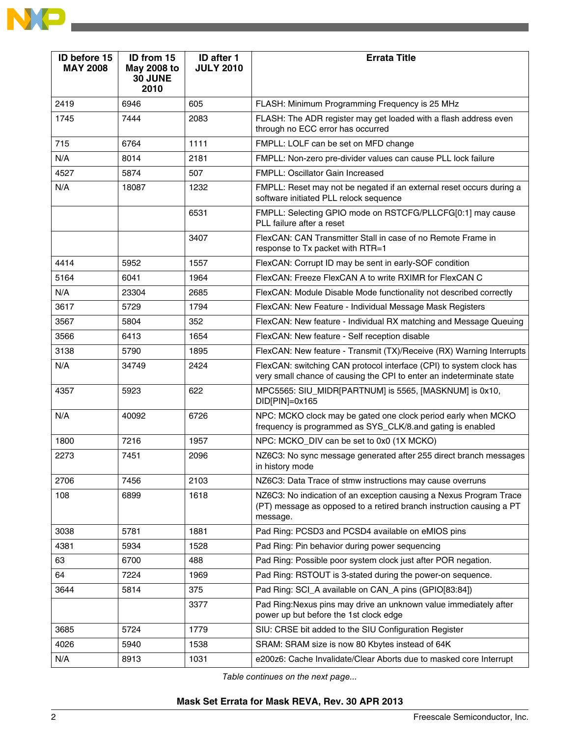| ID before 15<br><b>MAY 2008</b> | ID from 15<br>May 2008 to<br>30 JUNE<br>2010 | ID after 1<br><b>JULY 2010</b> | <b>Errata Title</b>                                                                                                                                    |  |
|---------------------------------|----------------------------------------------|--------------------------------|--------------------------------------------------------------------------------------------------------------------------------------------------------|--|
| 2419                            | 6946                                         | 605                            | FLASH: Minimum Programming Frequency is 25 MHz                                                                                                         |  |
| 1745                            | 7444                                         | 2083                           | FLASH: The ADR register may get loaded with a flash address even<br>through no ECC error has occurred                                                  |  |
| 715                             | 6764                                         | 1111                           | FMPLL: LOLF can be set on MFD change                                                                                                                   |  |
| N/A                             | 8014                                         | 2181                           | FMPLL: Non-zero pre-divider values can cause PLL lock failure                                                                                          |  |
| 4527                            | 5874                                         | 507                            | FMPLL: Oscillator Gain Increased                                                                                                                       |  |
| N/A                             | 18087                                        | 1232                           | FMPLL: Reset may not be negated if an external reset occurs during a<br>software initiated PLL relock sequence                                         |  |
|                                 |                                              | 6531                           | FMPLL: Selecting GPIO mode on RSTCFG/PLLCFG[0:1] may cause<br>PLL failure after a reset                                                                |  |
|                                 |                                              | 3407                           | FlexCAN: CAN Transmitter Stall in case of no Remote Frame in<br>response to Tx packet with RTR=1                                                       |  |
| 4414                            | 5952                                         | 1557                           | FlexCAN: Corrupt ID may be sent in early-SOF condition                                                                                                 |  |
| 5164                            | 6041                                         | 1964                           | FlexCAN: Freeze FlexCAN A to write RXIMR for FlexCAN C                                                                                                 |  |
| N/A                             | 23304                                        | 2685                           | FlexCAN: Module Disable Mode functionality not described correctly                                                                                     |  |
| 3617                            | 5729                                         | 1794                           | FlexCAN: New Feature - Individual Message Mask Registers                                                                                               |  |
| 3567                            | 5804                                         | 352                            | FlexCAN: New feature - Individual RX matching and Message Queuing                                                                                      |  |
| 3566                            | 6413                                         | 1654                           | FlexCAN: New feature - Self reception disable                                                                                                          |  |
| 3138                            | 5790                                         | 1895                           | FlexCAN: New feature - Transmit (TX)/Receive (RX) Warning Interrupts                                                                                   |  |
| N/A                             | 34749                                        | 2424                           | FlexCAN: switching CAN protocol interface (CPI) to system clock has<br>very small chance of causing the CPI to enter an indeterminate state            |  |
| 4357                            | 5923                                         | 622                            | MPC5565: SIU_MIDR[PARTNUM] is 5565, [MASKNUM] is 0x10,<br>DID[PIN]=0x165                                                                               |  |
| N/A                             | 40092                                        | 6726                           | NPC: MCKO clock may be gated one clock period early when MCKO<br>frequency is programmed as SYS_CLK/8.and gating is enabled                            |  |
| 1800                            | 7216                                         | 1957                           | NPC: MCKO_DIV can be set to 0x0 (1X MCKO)                                                                                                              |  |
| 2273                            | 7451                                         | 2096                           | NZ6C3: No sync message generated after 255 direct branch messages<br>in history mode                                                                   |  |
| 2706                            | 7456                                         | 2103                           | NZ6C3: Data Trace of stmw instructions may cause overruns                                                                                              |  |
| 108                             | 6899                                         | 1618                           | NZ6C3: No indication of an exception causing a Nexus Program Trace<br>(PT) message as opposed to a retired branch instruction causing a PT<br>message. |  |
| 3038                            | 5781                                         | 1881                           | Pad Ring: PCSD3 and PCSD4 available on eMIOS pins                                                                                                      |  |
| 4381                            | 5934                                         | 1528                           | Pad Ring: Pin behavior during power sequencing                                                                                                         |  |
| 63                              | 6700                                         | 488                            | Pad Ring: Possible poor system clock just after POR negation.                                                                                          |  |
| 64                              | 7224                                         | 1969                           | Pad Ring: RSTOUT is 3-stated during the power-on sequence.                                                                                             |  |
| 3644                            | 5814                                         | 375                            | Pad Ring: SCI_A available on CAN_A pins (GPIO[83:84])                                                                                                  |  |
|                                 |                                              | 3377                           | Pad Ring: Nexus pins may drive an unknown value immediately after<br>power up but before the 1st clock edge                                            |  |
| 3685                            | 5724                                         | 1779                           | SIU: CRSE bit added to the SIU Configuration Register                                                                                                  |  |
| 4026                            | 5940                                         | 1538                           | SRAM: SRAM size is now 80 Kbytes instead of 64K                                                                                                        |  |
| N/A                             | 8913                                         | 1031                           | e200z6: Cache Invalidate/Clear Aborts due to masked core Interrupt                                                                                     |  |

*Table continues on the next page...*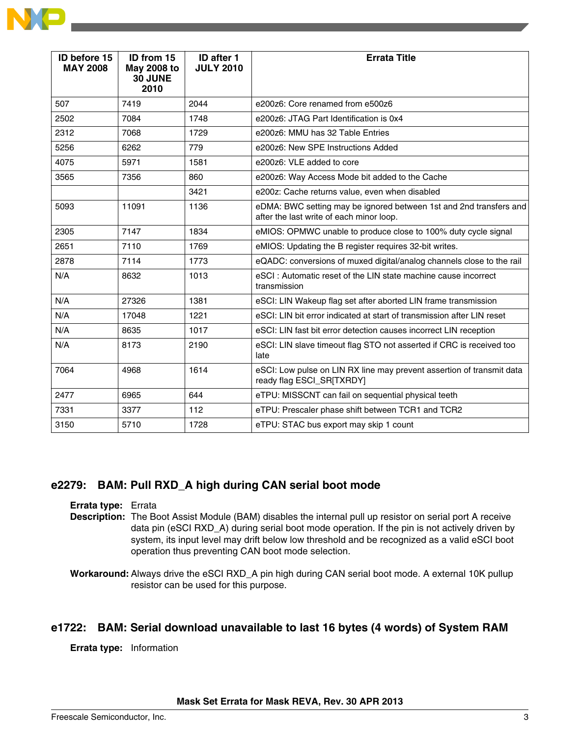| <b>ID before 15</b><br><b>MAY 2008</b> | ID from 15<br>May 2008 to<br>30 JUNE<br>2010 | <b>ID after 1</b><br><b>JULY 2010</b> | <b>Errata Title</b>                                                                                            |
|----------------------------------------|----------------------------------------------|---------------------------------------|----------------------------------------------------------------------------------------------------------------|
| 507                                    | 7419                                         | 2044                                  | e200z6: Core renamed from e500z6                                                                               |
| 2502                                   | 7084                                         | 1748                                  | e200z6: JTAG Part Identification is 0x4                                                                        |
| 2312                                   | 7068                                         | 1729                                  | e200z6: MMU has 32 Table Entries                                                                               |
| 5256                                   | 6262                                         | 779                                   | e200z6: New SPE Instructions Added                                                                             |
| 4075                                   | 5971                                         | 1581                                  | e200z6: VLE added to core                                                                                      |
| 3565                                   | 7356                                         | 860                                   | e200z6: Way Access Mode bit added to the Cache                                                                 |
|                                        |                                              | 3421                                  | e200z: Cache returns value, even when disabled                                                                 |
| 5093                                   | 11091                                        | 1136                                  | eDMA: BWC setting may be ignored between 1st and 2nd transfers and<br>after the last write of each minor loop. |
| 2305                                   | 7147                                         | 1834                                  | eMIOS: OPMWC unable to produce close to 100% duty cycle signal                                                 |
| 2651                                   | 7110                                         | 1769                                  | eMIOS: Updating the B register requires 32-bit writes.                                                         |
| 2878                                   | 7114                                         | 1773                                  | eQADC: conversions of muxed digital/analog channels close to the rail                                          |
| N/A                                    | 8632                                         | 1013                                  | eSCI : Automatic reset of the LIN state machine cause incorrect<br>transmission                                |
| N/A                                    | 27326                                        | 1381                                  | eSCI: LIN Wakeup flag set after aborted LIN frame transmission                                                 |
| N/A                                    | 17048                                        | 1221                                  | eSCI: LIN bit error indicated at start of transmission after LIN reset                                         |
| N/A                                    | 8635                                         | 1017                                  | eSCI: LIN fast bit error detection causes incorrect LIN reception                                              |
| N/A                                    | 8173                                         | 2190                                  | eSCI: LIN slave timeout flag STO not asserted if CRC is received too<br>late                                   |
| 7064                                   | 4968                                         | 1614                                  | eSCI: Low pulse on LIN RX line may prevent assertion of transmit data<br>ready flag ESCI_SR[TXRDY]             |
| 2477                                   | 6965                                         | 644                                   | eTPU: MISSCNT can fail on sequential physical teeth                                                            |
| 7331                                   | 3377                                         | 112                                   | eTPU: Prescaler phase shift between TCR1 and TCR2                                                              |
| 3150                                   | 5710                                         | 1728                                  | eTPU: STAC bus export may skip 1 count                                                                         |

### **e2279: BAM: Pull RXD\_A high during CAN serial boot mode**

**Errata type:** Errata **Description:** The Boot Assist Module (BAM) disables the internal pull up resistor on serial port A receive

data pin (eSCI RXD\_A) during serial boot mode operation. If the pin is not actively driven by system, its input level may drift below low threshold and be recognized as a valid eSCI boot operation thus preventing CAN boot mode selection.

# **e1722: BAM: Serial download unavailable to last 16 bytes (4 words) of System RAM**

**Errata type:** Information

**Workaround:** Always drive the eSCI RXD\_A pin high during CAN serial boot mode. A external 10K pullup resistor can be used for this purpose.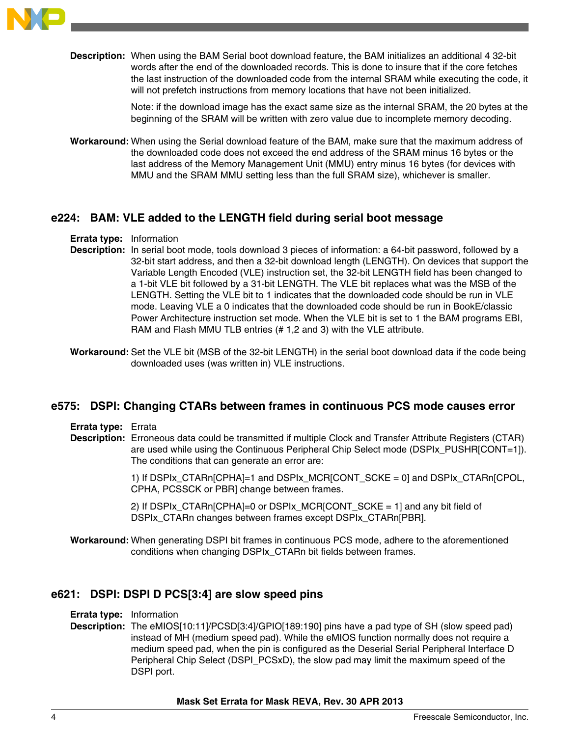

**Description:** When using the BAM Serial boot download feature, the BAM initializes an additional 4 32-bit words after the end of the downloaded records. This is done to insure that if the core fetches the last instruction of the downloaded code from the internal SRAM while executing the code, it will not prefetch instructions from memory locations that have not been initialized.

> Note: if the download image has the exact same size as the internal SRAM, the 20 bytes at the beginning of the SRAM will be written with zero value due to incomplete memory decoding.

**Workaround:** When using the Serial download feature of the BAM, make sure that the maximum address of the downloaded code does not exceed the end address of the SRAM minus 16 bytes or the last address of the Memory Management Unit (MMU) entry minus 16 bytes (for devices with MMU and the SRAM MMU setting less than the full SRAM size), whichever is smaller.

### **e224: BAM: VLE added to the LENGTH field during serial boot message**

#### **Errata type:** Information

- **Description:** In serial boot mode, tools download 3 pieces of information: a 64-bit password, followed by a 32-bit start address, and then a 32-bit download length (LENGTH). On devices that support the Variable Length Encoded (VLE) instruction set, the 32-bit LENGTH field has been changed to a 1-bit VLE bit followed by a 31-bit LENGTH. The VLE bit replaces what was the MSB of the LENGTH. Setting the VLE bit to 1 indicates that the downloaded code should be run in VLE mode. Leaving VLE a 0 indicates that the downloaded code should be run in BookE/classic Power Architecture instruction set mode. When the VLE bit is set to 1 the BAM programs EBI, RAM and Flash MMU TLB entries (# 1,2 and 3) with the VLE attribute.
- **Workaround:** Set the VLE bit (MSB of the 32-bit LENGTH) in the serial boot download data if the code being downloaded uses (was written in) VLE instructions.

### **e575: DSPI: Changing CTARs between frames in continuous PCS mode causes error**

**Errata type:** Errata

**Description:** Erroneous data could be transmitted if multiple Clock and Transfer Attribute Registers (CTAR) are used while using the Continuous Peripheral Chip Select mode (DSPIx\_PUSHR[CONT=1]). The conditions that can generate an error are:

> 1) If DSPIx\_CTARn[CPHA]=1 and DSPIx\_MCR[CONT\_SCKE = 0] and DSPIx\_CTARn[CPOL, CPHA, PCSSCK or PBR] change between frames.

2) If DSPIx CTARn[CPHA]=0 or DSPIx MCR[CONT SCKE = 1] and any bit field of DSPIx\_CTARn changes between frames except DSPIx\_CTARn[PBR].

**Workaround:** When generating DSPI bit frames in continuous PCS mode, adhere to the aforementioned conditions when changing DSPIx\_CTARn bit fields between frames.

### **e621: DSPI: DSPI D PCS[3:4] are slow speed pins**

**Errata type:** Information

**Description:** The eMIOS[10:11]/PCSD[3:4]/GPIO[189:190] pins have a pad type of SH (slow speed pad) instead of MH (medium speed pad). While the eMIOS function normally does not require a medium speed pad, when the pin is configured as the Deserial Serial Peripheral Interface D Peripheral Chip Select (DSPI\_PCSxD), the slow pad may limit the maximum speed of the DSPI port.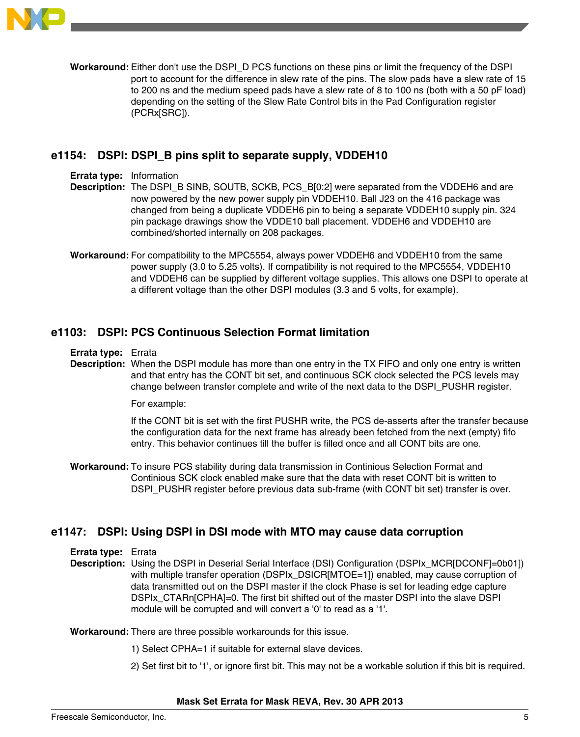

**Workaround:** Either don't use the DSPI\_D PCS functions on these pins or limit the frequency of the DSPI port to account for the difference in slew rate of the pins. The slow pads have a slew rate of 15 to 200 ns and the medium speed pads have a slew rate of 8 to 100 ns (both with a 50 pF load) depending on the setting of the Slew Rate Control bits in the Pad Configuration register (PCRx[SRC]).

# **e1154: DSPI: DSPI\_B pins split to separate supply, VDDEH10**

**Errata type:** Information

**Description:** The DSPI\_B SINB, SOUTB, SCKB, PCS\_B[0:2] were separated from the VDDEH6 and are now powered by the new power supply pin VDDEH10. Ball J23 on the 416 package was changed from being a duplicate VDDEH6 pin to being a separate VDDEH10 supply pin. 324 pin package drawings show the VDDE10 ball placement. VDDEH6 and VDDEH10 are combined/shorted internally on 208 packages.

**Workaround:** For compatibility to the MPC5554, always power VDDEH6 and VDDEH10 from the same power supply (3.0 to 5.25 volts). If compatibility is not required to the MPC5554, VDDEH10 and VDDEH6 can be supplied by different voltage supplies. This allows one DSPI to operate at a different voltage than the other DSPI modules (3.3 and 5 volts, for example).

### **e1103: DSPI: PCS Continuous Selection Format limitation**

#### **Errata type:** Errata

**Description:** When the DSPI module has more than one entry in the TX FIFO and only one entry is written and that entry has the CONT bit set, and continuous SCK clock selected the PCS levels may change between transfer complete and write of the next data to the DSPI\_PUSHR register.

For example:

If the CONT bit is set with the first PUSHR write, the PCS de-asserts after the transfer because the configuration data for the next frame has already been fetched from the next (empty) fifo entry. This behavior continues till the buffer is filled once and all CONT bits are one.

**Workaround:** To insure PCS stability during data transmission in Continious Selection Format and Continious SCK clock enabled make sure that the data with reset CONT bit is written to DSPI\_PUSHR register before previous data sub-frame (with CONT bit set) transfer is over.

### **e1147: DSPI: Using DSPI in DSI mode with MTO may cause data corruption**

**Errata type:** Errata

**Description:** Using the DSPI in Deserial Serial Interface (DSI) Configuration (DSPIx\_MCR[DCONF]=0b01]) with multiple transfer operation (DSPIx\_DSICR[MTOE=1]) enabled, may cause corruption of data transmitted out on the DSPI master if the clock Phase is set for leading edge capture DSPIx\_CTARn[CPHA]=0. The first bit shifted out of the master DSPI into the slave DSPI module will be corrupted and will convert a '0' to read as a '1'.

**Workaround:** There are three possible workarounds for this issue.

- 1) Select CPHA=1 if suitable for external slave devices.
- 2) Set first bit to '1', or ignore first bit. This may not be a workable solution if this bit is required.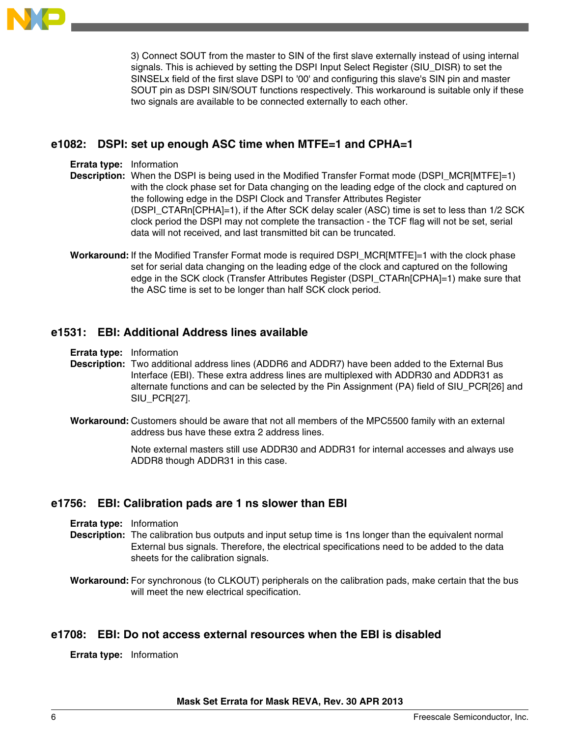

3) Connect SOUT from the master to SIN of the first slave externally instead of using internal signals. This is achieved by setting the DSPI Input Select Register (SIU\_DISR) to set the SINSELx field of the first slave DSPI to '00' and configuring this slave's SIN pin and master SOUT pin as DSPI SIN/SOUT functions respectively. This workaround is suitable only if these two signals are available to be connected externally to each other.

# **e1082: DSPI: set up enough ASC time when MTFE=1 and CPHA=1**

**Errata type:** Information

**Description:** When the DSPI is being used in the Modified Transfer Format mode (DSPI\_MCR[MTFE]=1) with the clock phase set for Data changing on the leading edge of the clock and captured on the following edge in the DSPI Clock and Transfer Attributes Register (DSPI\_CTARn[CPHA]=1), if the After SCK delay scaler (ASC) time is set to less than 1/2 SCK clock period the DSPI may not complete the transaction - the TCF flag will not be set, serial data will not received, and last transmitted bit can be truncated.

**Workaround:** If the Modified Transfer Format mode is required DSPI\_MCR[MTFE]=1 with the clock phase set for serial data changing on the leading edge of the clock and captured on the following edge in the SCK clock (Transfer Attributes Register (DSPI\_CTARn[CPHA]=1) make sure that the ASC time is set to be longer than half SCK clock period.

# **e1531: EBI: Additional Address lines available**

**Errata type:** Information

- **Description:** Two additional address lines (ADDR6 and ADDR7) have been added to the External Bus Interface (EBI). These extra address lines are multiplexed with ADDR30 and ADDR31 as alternate functions and can be selected by the Pin Assignment (PA) field of SIU\_PCR[26] and SIU PCR[27].
- **Workaround:** Customers should be aware that not all members of the MPC5500 family with an external address bus have these extra 2 address lines.

Note external masters still use ADDR30 and ADDR31 for internal accesses and always use ADDR8 though ADDR31 in this case.

### **e1756: EBI: Calibration pads are 1 ns slower than EBI**

- **Errata type:** Information
- **Description:** The calibration bus outputs and input setup time is 1ns longer than the equivalent normal External bus signals. Therefore, the electrical specifications need to be added to the data sheets for the calibration signals.

**Workaround:** For synchronous (to CLKOUT) peripherals on the calibration pads, make certain that the bus will meet the new electrical specification.

### **e1708: EBI: Do not access external resources when the EBI is disabled**

**Errata type:** Information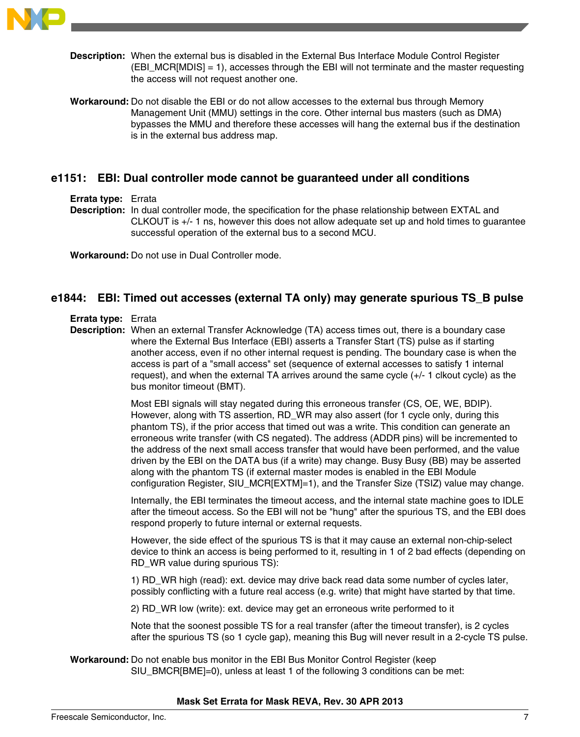

**Description:** When the external bus is disabled in the External Bus Interface Module Control Register (EBI\_MCR[MDIS] = 1), accesses through the EBI will not terminate and the master requesting the access will not request another one.

**Workaround:** Do not disable the EBI or do not allow accesses to the external bus through Memory Management Unit (MMU) settings in the core. Other internal bus masters (such as DMA) bypasses the MMU and therefore these accesses will hang the external bus if the destination is in the external bus address map.

# **e1151: EBI: Dual controller mode cannot be guaranteed under all conditions**

#### **Errata type:** Errata

**Description:** In dual controller mode, the specification for the phase relationship between EXTAL and CLKOUT is +/- 1 ns, however this does not allow adequate set up and hold times to guarantee successful operation of the external bus to a second MCU.

**Workaround:** Do not use in Dual Controller mode.

# **e1844: EBI: Timed out accesses (external TA only) may generate spurious TS\_B pulse**

#### **Errata type:** Errata

**Description:** When an external Transfer Acknowledge (TA) access times out, there is a boundary case where the External Bus Interface (EBI) asserts a Transfer Start (TS) pulse as if starting another access, even if no other internal request is pending. The boundary case is when the access is part of a "small access" set (sequence of external accesses to satisfy 1 internal request), and when the external TA arrives around the same cycle (+/- 1 clkout cycle) as the bus monitor timeout (BMT).

> Most EBI signals will stay negated during this erroneous transfer (CS, OE, WE, BDIP). However, along with TS assertion, RD WR may also assert (for 1 cycle only, during this phantom TS), if the prior access that timed out was a write. This condition can generate an erroneous write transfer (with CS negated). The address (ADDR pins) will be incremented to the address of the next small access transfer that would have been performed, and the value driven by the EBI on the DATA bus (if a write) may change. Busy Busy (BB) may be asserted along with the phantom TS (if external master modes is enabled in the EBI Module configuration Register, SIU\_MCR[EXTM]=1), and the Transfer Size (TSIZ) value may change.

> Internally, the EBI terminates the timeout access, and the internal state machine goes to IDLE after the timeout access. So the EBI will not be "hung" after the spurious TS, and the EBI does respond properly to future internal or external requests.

> However, the side effect of the spurious TS is that it may cause an external non-chip-select device to think an access is being performed to it, resulting in 1 of 2 bad effects (depending on RD WR value during spurious TS):

1) RD\_WR high (read): ext. device may drive back read data some number of cycles later, possibly conflicting with a future real access (e.g. write) that might have started by that time.

2) RD\_WR low (write): ext. device may get an erroneous write performed to it

Note that the soonest possible TS for a real transfer (after the timeout transfer), is 2 cycles after the spurious TS (so 1 cycle gap), meaning this Bug will never result in a 2-cycle TS pulse.

**Workaround:** Do not enable bus monitor in the EBI Bus Monitor Control Register (keep SIU\_BMCR[BME]=0), unless at least 1 of the following 3 conditions can be met: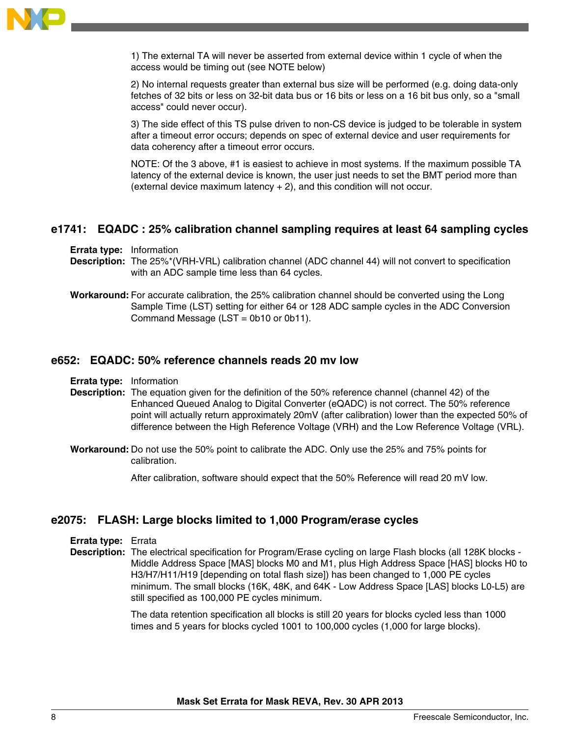

1) The external TA will never be asserted from external device within 1 cycle of when the access would be timing out (see NOTE below)

2) No internal requests greater than external bus size will be performed (e.g. doing data-only fetches of 32 bits or less on 32-bit data bus or 16 bits or less on a 16 bit bus only, so a "small access" could never occur).

3) The side effect of this TS pulse driven to non-CS device is judged to be tolerable in system after a timeout error occurs; depends on spec of external device and user requirements for data coherency after a timeout error occurs.

NOTE: Of the 3 above, #1 is easiest to achieve in most systems. If the maximum possible TA latency of the external device is known, the user just needs to set the BMT period more than (external device maximum latency + 2), and this condition will not occur.

### **e1741: EQADC : 25% calibration channel sampling requires at least 64 sampling cycles**

**Errata type:** Information

- **Description:** The 25%\*(VRH-VRL) calibration channel (ADC channel 44) will not convert to specification with an ADC sample time less than 64 cycles.
- **Workaround:** For accurate calibration, the 25% calibration channel should be converted using the Long Sample Time (LST) setting for either 64 or 128 ADC sample cycles in the ADC Conversion Command Message (LST = 0b10 or 0b11).

#### **e652: EQADC: 50% reference channels reads 20 mv low**

- **Errata type:** Information
- **Description:** The equation given for the definition of the 50% reference channel (channel 42) of the Enhanced Queued Analog to Digital Converter (eQADC) is not correct. The 50% reference point will actually return approximately 20mV (after calibration) lower than the expected 50% of difference between the High Reference Voltage (VRH) and the Low Reference Voltage (VRL).
- **Workaround:** Do not use the 50% point to calibrate the ADC. Only use the 25% and 75% points for calibration.

After calibration, software should expect that the 50% Reference will read 20 mV low.

### **e2075: FLASH: Large blocks limited to 1,000 Program/erase cycles**

- **Errata type:** Errata
- **Description:** The electrical specification for Program/Erase cycling on large Flash blocks (all 128K blocks -Middle Address Space [MAS] blocks M0 and M1, plus High Address Space [HAS] blocks H0 to H3/H7/H11/H19 [depending on total flash size]) has been changed to 1,000 PE cycles minimum. The small blocks (16K, 48K, and 64K - Low Address Space [LAS] blocks L0-L5) are still specified as 100,000 PE cycles minimum.

The data retention specification all blocks is still 20 years for blocks cycled less than 1000 times and 5 years for blocks cycled 1001 to 100,000 cycles (1,000 for large blocks).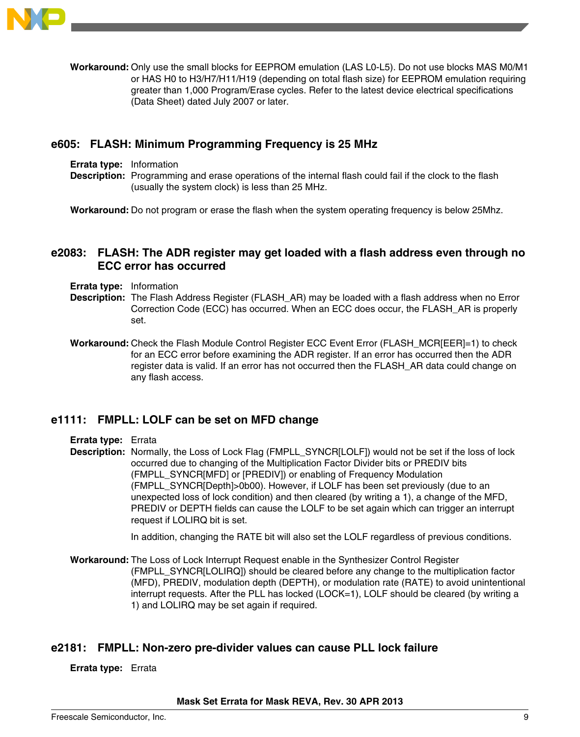

**Workaround:** Only use the small blocks for EEPROM emulation (LAS L0-L5). Do not use blocks MAS M0/M1 or HAS H0 to H3/H7/H11/H19 (depending on total flash size) for EEPROM emulation requiring greater than 1,000 Program/Erase cycles. Refer to the latest device electrical specifications (Data Sheet) dated July 2007 or later.

### **e605: FLASH: Minimum Programming Frequency is 25 MHz**

- **Errata type:** Information
- **Description:** Programming and erase operations of the internal flash could fail if the clock to the flash (usually the system clock) is less than 25 MHz.

**Workaround:** Do not program or erase the flash when the system operating frequency is below 25Mhz.

# **e2083: FLASH: The ADR register may get loaded with a flash address even through no ECC error has occurred**

- **Errata type:** Information
- **Description:** The Flash Address Register (FLASH\_AR) may be loaded with a flash address when no Error Correction Code (ECC) has occurred. When an ECC does occur, the FLASH\_AR is properly set.
- **Workaround:** Check the Flash Module Control Register ECC Event Error (FLASH\_MCR[EER]=1) to check for an ECC error before examining the ADR register. If an error has occurred then the ADR register data is valid. If an error has not occurred then the FLASH\_AR data could change on any flash access.

# **e1111: FMPLL: LOLF can be set on MFD change**

**Errata type:** Errata

**Description:** Normally, the Loss of Lock Flag (FMPLL\_SYNCR[LOLF]) would not be set if the loss of lock occurred due to changing of the Multiplication Factor Divider bits or PREDIV bits (FMPLL\_SYNCR[MFD] or [PREDIV]) or enabling of Frequency Modulation (FMPLL\_SYNCR[Depth]>0b00). However, if LOLF has been set previously (due to an unexpected loss of lock condition) and then cleared (by writing a 1), a change of the MFD, PREDIV or DEPTH fields can cause the LOLF to be set again which can trigger an interrupt request if LOLIRQ bit is set.

In addition, changing the RATE bit will also set the LOLF regardless of previous conditions.

**Workaround:** The Loss of Lock Interrupt Request enable in the Synthesizer Control Register (FMPLL\_SYNCR[LOLIRQ]) should be cleared before any change to the multiplication factor (MFD), PREDIV, modulation depth (DEPTH), or modulation rate (RATE) to avoid unintentional interrupt requests. After the PLL has locked (LOCK=1), LOLF should be cleared (by writing a 1) and LOLIRQ may be set again if required.

### **e2181: FMPLL: Non-zero pre-divider values can cause PLL lock failure**

#### **Errata type:** Errata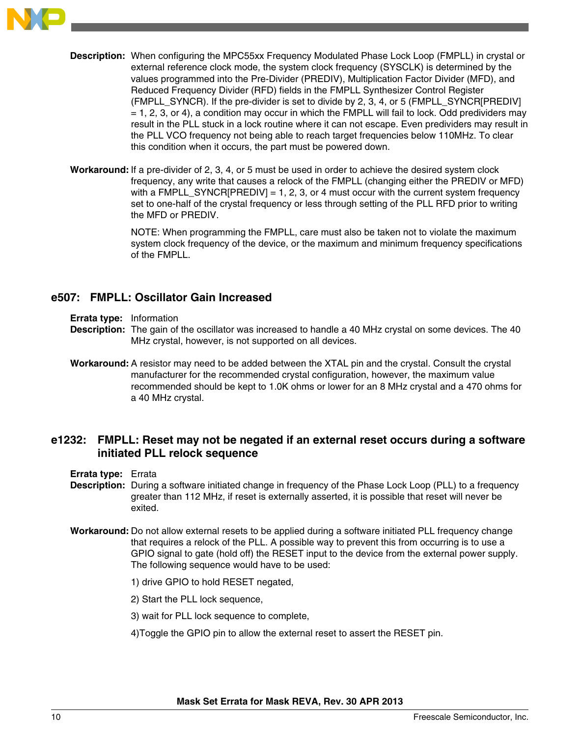

- **Description:** When configuring the MPC55xx Frequency Modulated Phase Lock Loop (FMPLL) in crystal or external reference clock mode, the system clock frequency (SYSCLK) is determined by the values programmed into the Pre-Divider (PREDIV), Multiplication Factor Divider (MFD), and Reduced Frequency Divider (RFD) fields in the FMPLL Synthesizer Control Register (FMPLL\_SYNCR). If the pre-divider is set to divide by 2, 3, 4, or 5 (FMPLL\_SYNCR[PREDIV]  $= 1, 2, 3,$  or 4), a condition may occur in which the FMPLL will fail to lock. Odd predividers may result in the PLL stuck in a lock routine where it can not escape. Even predividers may result in the PLL VCO frequency not being able to reach target frequencies below 110MHz. To clear this condition when it occurs, the part must be powered down.
- **Workaround:** If a pre-divider of 2, 3, 4, or 5 must be used in order to achieve the desired system clock frequency, any write that causes a relock of the FMPLL (changing either the PREDIV or MFD) with a FMPLL\_SYNCR $[PREDIV] = 1, 2, 3,$  or 4 must occur with the current system frequency set to one-half of the crystal frequency or less through setting of the PLL RFD prior to writing the MFD or PREDIV.

NOTE: When programming the FMPLL, care must also be taken not to violate the maximum system clock frequency of the device, or the maximum and minimum frequency specifications of the FMPLL.

# **e507: FMPLL: Oscillator Gain Increased**

- **Errata type:** Information
- **Description:** The gain of the oscillator was increased to handle a 40 MHz crystal on some devices. The 40 MHz crystal, however, is not supported on all devices.
- **Workaround:** A resistor may need to be added between the XTAL pin and the crystal. Consult the crystal manufacturer for the recommended crystal configuration, however, the maximum value recommended should be kept to 1.0K ohms or lower for an 8 MHz crystal and a 470 ohms for a 40 MHz crystal.

# **e1232: FMPLL: Reset may not be negated if an external reset occurs during a software initiated PLL relock sequence**

- **Errata type:** Errata
- **Description:** During a software initiated change in frequency of the Phase Lock Loop (PLL) to a frequency greater than 112 MHz, if reset is externally asserted, it is possible that reset will never be exited.
- **Workaround:** Do not allow external resets to be applied during a software initiated PLL frequency change that requires a relock of the PLL. A possible way to prevent this from occurring is to use a GPIO signal to gate (hold off) the RESET input to the device from the external power supply. The following sequence would have to be used:
	- 1) drive GPIO to hold RESET negated,
	- 2) Start the PLL lock sequence,
	- 3) wait for PLL lock sequence to complete,
	- 4)Toggle the GPIO pin to allow the external reset to assert the RESET pin.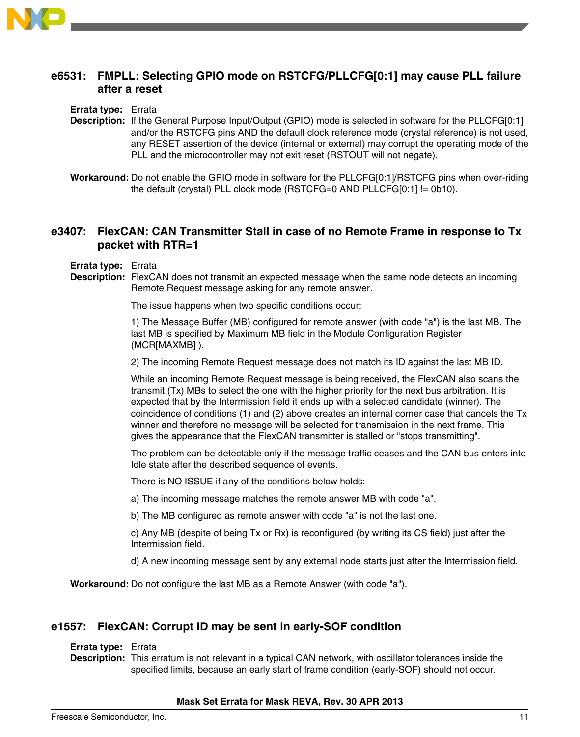

# **e6531: FMPLL: Selecting GPIO mode on RSTCFG/PLLCFG[0:1] may cause PLL failure after a reset**

**Errata type:** Errata

**Description:** If the General Purpose Input/Output (GPIO) mode is selected in software for the PLLCFG[0:1] and/or the RSTCFG pins AND the default clock reference mode (crystal reference) is not used, any RESET assertion of the device (internal or external) may corrupt the operating mode of the PLL and the microcontroller may not exit reset (RSTOUT will not negate).

**Workaround:** Do not enable the GPIO mode in software for the PLLCFG[0:1]/RSTCFG pins when over-riding the default (crystal) PLL clock mode (RSTCFG=0 AND PLLCFG[0:1] != 0b10).

# **e3407: FlexCAN: CAN Transmitter Stall in case of no Remote Frame in response to Tx packet with RTR=1**

**Errata type:** Errata

**Description:** FlexCAN does not transmit an expected message when the same node detects an incoming Remote Request message asking for any remote answer.

The issue happens when two specific conditions occur:

1) The Message Buffer (MB) configured for remote answer (with code "a") is the last MB. The last MB is specified by Maximum MB field in the Module Configuration Register (MCR[MAXMB] ).

2) The incoming Remote Request message does not match its ID against the last MB ID.

While an incoming Remote Request message is being received, the FlexCAN also scans the transmit (Tx) MBs to select the one with the higher priority for the next bus arbitration. It is expected that by the Intermission field it ends up with a selected candidate (winner). The coincidence of conditions (1) and (2) above creates an internal corner case that cancels the Tx winner and therefore no message will be selected for transmission in the next frame. This gives the appearance that the FlexCAN transmitter is stalled or "stops transmitting".

The problem can be detectable only if the message traffic ceases and the CAN bus enters into Idle state after the described sequence of events.

There is NO ISSUE if any of the conditions below holds:

a) The incoming message matches the remote answer MB with code "a".

b) The MB configured as remote answer with code "a" is not the last one.

c) Any MB (despite of being Tx or Rx) is reconfigured (by writing its CS field) just after the Intermission field.

d) A new incoming message sent by any external node starts just after the Intermission field.

**Workaround:** Do not configure the last MB as a Remote Answer (with code "a").

### **e1557: FlexCAN: Corrupt ID may be sent in early-SOF condition**

#### **Errata type:** Errata

**Description:** This erratum is not relevant in a typical CAN network, with oscillator tolerances inside the specified limits, because an early start of frame condition (early-SOF) should not occur.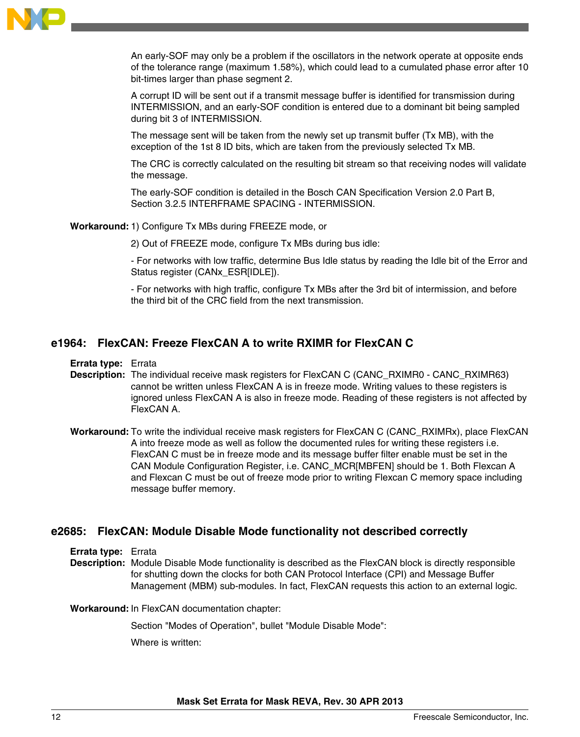

An early-SOF may only be a problem if the oscillators in the network operate at opposite ends of the tolerance range (maximum 1.58%), which could lead to a cumulated phase error after 10 bit-times larger than phase segment 2.

A corrupt ID will be sent out if a transmit message buffer is identified for transmission during INTERMISSION, and an early-SOF condition is entered due to a dominant bit being sampled during bit 3 of INTERMISSION.

The message sent will be taken from the newly set up transmit buffer (Tx MB), with the exception of the 1st 8 ID bits, which are taken from the previously selected Tx MB.

The CRC is correctly calculated on the resulting bit stream so that receiving nodes will validate the message.

The early-SOF condition is detailed in the Bosch CAN Specification Version 2.0 Part B, Section 3.2.5 INTERFRAME SPACING - INTERMISSION.

**Workaround:**1) Configure Tx MBs during FREEZE mode, or

2) Out of FREEZE mode, configure Tx MBs during bus idle:

- For networks with low traffic, determine Bus Idle status by reading the Idle bit of the Error and Status register (CANx\_ESR[IDLE]).

- For networks with high traffic, configure Tx MBs after the 3rd bit of intermission, and before the third bit of the CRC field from the next transmission.

## **e1964: FlexCAN: Freeze FlexCAN A to write RXIMR for FlexCAN C**

**Errata type:** Errata

- **Description:** The individual receive mask registers for FlexCAN C (CANC\_RXIMR0 CANC\_RXIMR63) cannot be written unless FlexCAN A is in freeze mode. Writing values to these registers is ignored unless FlexCAN A is also in freeze mode. Reading of these registers is not affected by FlexCAN A.
- **Workaround:** To write the individual receive mask registers for FlexCAN C (CANC\_RXIMRx), place FlexCAN A into freeze mode as well as follow the documented rules for writing these registers i.e. FlexCAN C must be in freeze mode and its message buffer filter enable must be set in the CAN Module Configuration Register, i.e. CANC\_MCR[MBFEN] should be 1. Both Flexcan A and Flexcan C must be out of freeze mode prior to writing Flexcan C memory space including message buffer memory.

#### **e2685: FlexCAN: Module Disable Mode functionality not described correctly**

**Errata type:** Errata

**Description:** Module Disable Mode functionality is described as the FlexCAN block is directly responsible for shutting down the clocks for both CAN Protocol Interface (CPI) and Message Buffer Management (MBM) sub-modules. In fact, FlexCAN requests this action to an external logic.

**Workaround:** In FlexCAN documentation chapter:

Section "Modes of Operation", bullet "Module Disable Mode":

Where is written: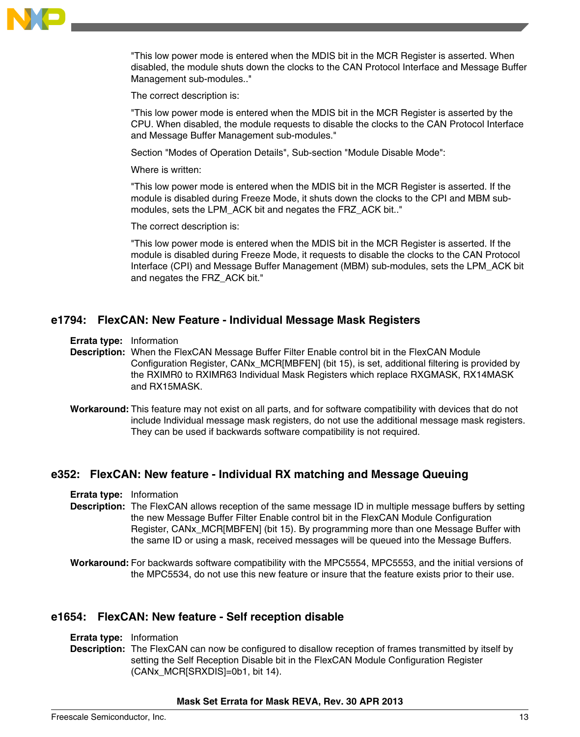

"This low power mode is entered when the MDIS bit in the MCR Register is asserted. When disabled, the module shuts down the clocks to the CAN Protocol Interface and Message Buffer Management sub-modules.."

The correct description is:

"This low power mode is entered when the MDIS bit in the MCR Register is asserted by the CPU. When disabled, the module requests to disable the clocks to the CAN Protocol Interface and Message Buffer Management sub-modules."

Section "Modes of Operation Details", Sub-section "Module Disable Mode":

Where is written:

"This low power mode is entered when the MDIS bit in the MCR Register is asserted. If the module is disabled during Freeze Mode, it shuts down the clocks to the CPI and MBM submodules, sets the LPM\_ACK bit and negates the FRZ\_ACK bit.."

The correct description is:

"This low power mode is entered when the MDIS bit in the MCR Register is asserted. If the module is disabled during Freeze Mode, it requests to disable the clocks to the CAN Protocol Interface (CPI) and Message Buffer Management (MBM) sub-modules, sets the LPM\_ACK bit and negates the FRZ\_ACK bit."

### **e1794: FlexCAN: New Feature - Individual Message Mask Registers**

**Errata type:** Information

**Description:** When the FlexCAN Message Buffer Filter Enable control bit in the FlexCAN Module Configuration Register, CANx\_MCR[MBFEN] (bit 15), is set, additional filtering is provided by the RXIMR0 to RXIMR63 Individual Mask Registers which replace RXGMASK, RX14MASK and RX15MASK.

**Workaround:** This feature may not exist on all parts, and for software compatibility with devices that do not include Individual message mask registers, do not use the additional message mask registers. They can be used if backwards software compatibility is not required.

### **e352: FlexCAN: New feature - Individual RX matching and Message Queuing**

**Errata type:** Information

- **Description:** The FlexCAN allows reception of the same message ID in multiple message buffers by setting the new Message Buffer Filter Enable control bit in the FlexCAN Module Configuration Register, CANx\_MCR[MBFEN] (bit 15). By programming more than one Message Buffer with the same ID or using a mask, received messages will be queued into the Message Buffers.
- **Workaround:** For backwards software compatibility with the MPC5554, MPC5553, and the initial versions of the MPC5534, do not use this new feature or insure that the feature exists prior to their use.

#### **e1654: FlexCAN: New feature - Self reception disable**

- **Errata type:** Information
- **Description:** The FlexCAN can now be configured to disallow reception of frames transmitted by itself by setting the Self Reception Disable bit in the FlexCAN Module Configuration Register (CANx\_MCR[SRXDIS]=0b1, bit 14).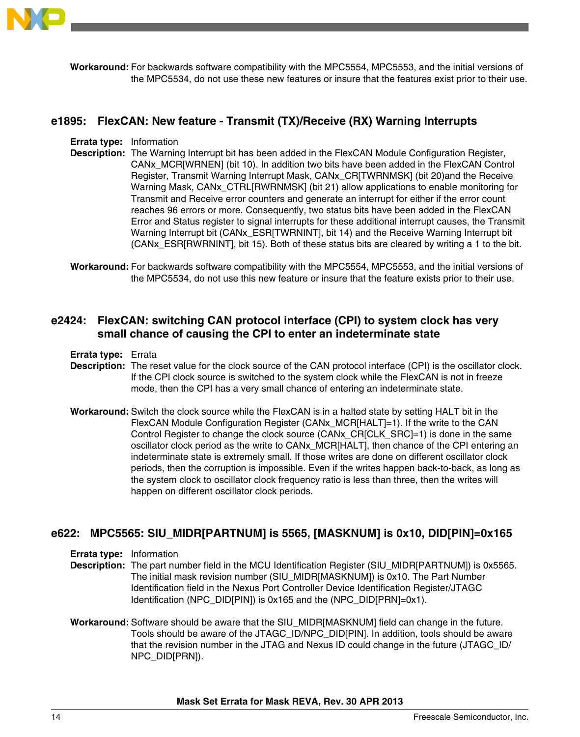

**Workaround:** For backwards software compatibility with the MPC5554, MPC5553, and the initial versions of the MPC5534, do not use these new features or insure that the features exist prior to their use.

### **e1895: FlexCAN: New feature - Transmit (TX)/Receive (RX) Warning Interrupts**

**Errata type:** Information

- **Description:** The Warning Interrupt bit has been added in the FlexCAN Module Configuration Register, CANx\_MCR[WRNEN] (bit 10). In addition two bits have been added in the FlexCAN Control Register, Transmit Warning Interrupt Mask, CANx\_CR[TWRNMSK] (bit 20)and the Receive Warning Mask, CANx\_CTRL[RWRNMSK] (bit 21) allow applications to enable monitoring for Transmit and Receive error counters and generate an interrupt for either if the error count reaches 96 errors or more. Consequently, two status bits have been added in the FlexCAN Error and Status register to signal interrupts for these additional interrupt causes, the Transmit Warning Interrupt bit (CANx\_ESR[TWRNINT], bit 14) and the Receive Warning Interrupt bit (CANx\_ESR[RWRNINT], bit 15). Both of these status bits are cleared by writing a 1 to the bit.
- **Workaround:** For backwards software compatibility with the MPC5554, MPC5553, and the initial versions of the MPC5534, do not use this new feature or insure that the feature exists prior to their use.

# **e2424: FlexCAN: switching CAN protocol interface (CPI) to system clock has very small chance of causing the CPI to enter an indeterminate state**

#### **Errata type:** Errata

- **Description:** The reset value for the clock source of the CAN protocol interface (CPI) is the oscillator clock. If the CPI clock source is switched to the system clock while the FlexCAN is not in freeze mode, then the CPI has a very small chance of entering an indeterminate state.
- **Workaround:** Switch the clock source while the FlexCAN is in a halted state by setting HALT bit in the FlexCAN Module Configuration Register (CANx\_MCR[HALT]=1). If the write to the CAN Control Register to change the clock source (CANx\_CR[CLK\_SRC]=1) is done in the same oscillator clock period as the write to CANx\_MCR[HALT], then chance of the CPI entering an indeterminate state is extremely small. If those writes are done on different oscillator clock periods, then the corruption is impossible. Even if the writes happen back-to-back, as long as the system clock to oscillator clock frequency ratio is less than three, then the writes will happen on different oscillator clock periods.

# **e622: MPC5565: SIU\_MIDR[PARTNUM] is 5565, [MASKNUM] is 0x10, DID[PIN]=0x165**

**Errata type:** Information

- **Description:** The part number field in the MCU Identification Register (SIU\_MIDR[PARTNUM]) is 0x5565. The initial mask revision number (SIU\_MIDR[MASKNUM]) is 0x10. The Part Number Identification field in the Nexus Port Controller Device Identification Register/JTAGC Identification (NPC\_DID[PIN]) is 0x165 and the (NPC\_DID[PRN]=0x1).
- **Workaround:** Software should be aware that the SIU\_MIDR[MASKNUM] field can change in the future. Tools should be aware of the JTAGC\_ID/NPC\_DID[PIN]. In addition, tools should be aware that the revision number in the JTAG and Nexus ID could change in the future (JTAGC\_ID/ NPC\_DID[PRN]).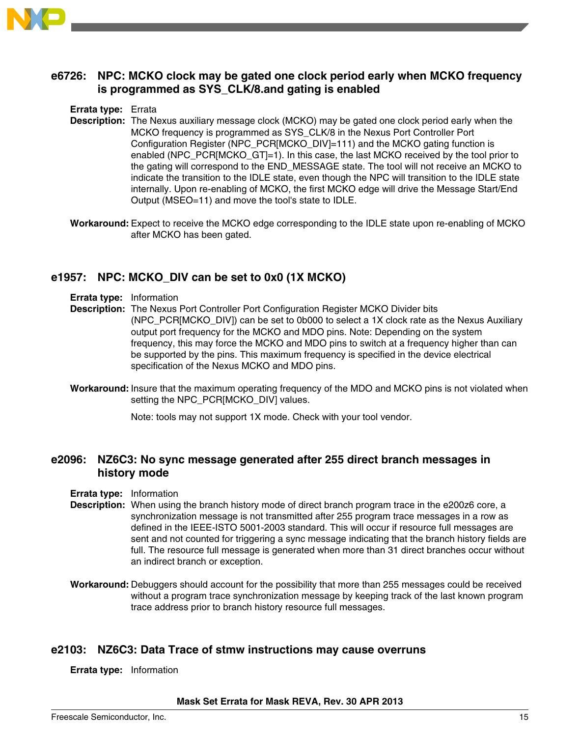

# **e6726: NPC: MCKO clock may be gated one clock period early when MCKO frequency is programmed as SYS\_CLK/8.and gating is enabled**

### **Errata type:** Errata

- **Description:** The Nexus auxiliary message clock (MCKO) may be gated one clock period early when the MCKO frequency is programmed as SYS\_CLK/8 in the Nexus Port Controller Port Configuration Register (NPC\_PCR[MCKO\_DIV]=111) and the MCKO gating function is enabled (NPC\_PCR[MCKO\_GT]=1). In this case, the last MCKO received by the tool prior to the gating will correspond to the END\_MESSAGE state. The tool will not receive an MCKO to indicate the transition to the IDLE state, even though the NPC will transition to the IDLE state internally. Upon re-enabling of MCKO, the first MCKO edge will drive the Message Start/End Output (MSEO=11) and move the tool's state to IDLE.
- **Workaround:** Expect to receive the MCKO edge corresponding to the IDLE state upon re-enabling of MCKO after MCKO has been gated.

# **e1957: NPC: MCKO\_DIV can be set to 0x0 (1X MCKO)**

- **Errata type:** Information
- **Description:** The Nexus Port Controller Port Configuration Register MCKO Divider bits (NPC\_PCR[MCKO\_DIV]) can be set to 0b000 to select a 1X clock rate as the Nexus Auxiliary output port frequency for the MCKO and MDO pins. Note: Depending on the system frequency, this may force the MCKO and MDO pins to switch at a frequency higher than can be supported by the pins. This maximum frequency is specified in the device electrical specification of the Nexus MCKO and MDO pins.
- **Workaround:** Insure that the maximum operating frequency of the MDO and MCKO pins is not violated when setting the NPC\_PCR[MCKO\_DIV] values.

Note: tools may not support 1X mode. Check with your tool vendor.

### **e2096: NZ6C3: No sync message generated after 255 direct branch messages in history mode**

- **Errata type:** Information
- **Description:** When using the branch history mode of direct branch program trace in the e200z6 core, a synchronization message is not transmitted after 255 program trace messages in a row as defined in the IEEE-ISTO 5001-2003 standard. This will occur if resource full messages are sent and not counted for triggering a sync message indicating that the branch history fields are full. The resource full message is generated when more than 31 direct branches occur without an indirect branch or exception.
- **Workaround:** Debuggers should account for the possibility that more than 255 messages could be received without a program trace synchronization message by keeping track of the last known program trace address prior to branch history resource full messages.

### **e2103: NZ6C3: Data Trace of stmw instructions may cause overruns**

**Errata type:** Information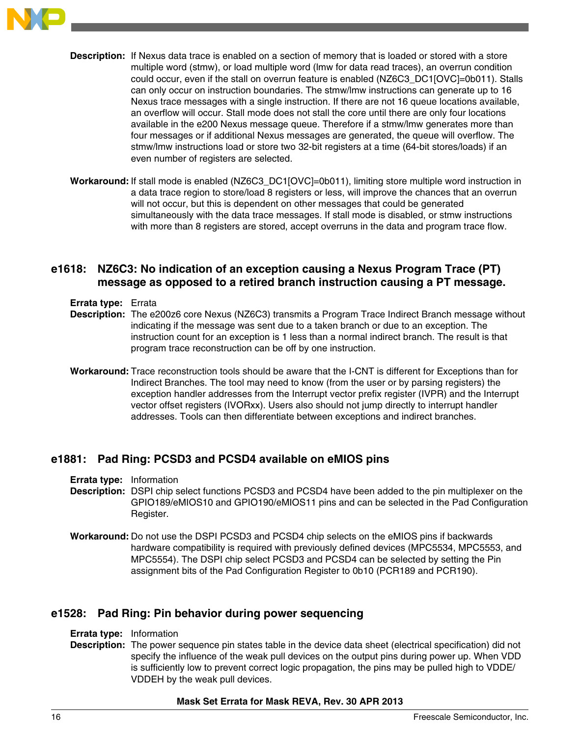

**Description:** If Nexus data trace is enabled on a section of memory that is loaded or stored with a store multiple word (stmw), or load multiple word (lmw for data read traces), an overrun condition could occur, even if the stall on overrun feature is enabled (NZ6C3\_DC1[OVC]=0b011). Stalls can only occur on instruction boundaries. The stmw/lmw instructions can generate up to 16 Nexus trace messages with a single instruction. If there are not 16 queue locations available, an overflow will occur. Stall mode does not stall the core until there are only four locations available in the e200 Nexus message queue. Therefore if a stmw/lmw generates more than four messages or if additional Nexus messages are generated, the queue will overflow. The stmw/lmw instructions load or store two 32-bit registers at a time (64-bit stores/loads) if an even number of registers are selected.

**Workaround:** If stall mode is enabled (NZ6C3\_DC1[OVC]=0b011), limiting store multiple word instruction in a data trace region to store/load 8 registers or less, will improve the chances that an overrun will not occur, but this is dependent on other messages that could be generated simultaneously with the data trace messages. If stall mode is disabled, or stmw instructions with more than 8 registers are stored, accept overruns in the data and program trace flow.

# **e1618: NZ6C3: No indication of an exception causing a Nexus Program Trace (PT) message as opposed to a retired branch instruction causing a PT message.**

- **Errata type:** Errata
- **Description:** The e200z6 core Nexus (NZ6C3) transmits a Program Trace Indirect Branch message without indicating if the message was sent due to a taken branch or due to an exception. The instruction count for an exception is 1 less than a normal indirect branch. The result is that program trace reconstruction can be off by one instruction.
- **Workaround:** Trace reconstruction tools should be aware that the I-CNT is different for Exceptions than for Indirect Branches. The tool may need to know (from the user or by parsing registers) the exception handler addresses from the Interrupt vector prefix register (IVPR) and the Interrupt vector offset registers (IVORxx). Users also should not jump directly to interrupt handler addresses. Tools can then differentiate between exceptions and indirect branches.

### **e1881: Pad Ring: PCSD3 and PCSD4 available on eMIOS pins**

**Errata type:** Information

- **Description:** DSPI chip select functions PCSD3 and PCSD4 have been added to the pin multiplexer on the GPIO189/eMIOS10 and GPIO190/eMIOS11 pins and can be selected in the Pad Configuration Register.
- **Workaround:** Do not use the DSPI PCSD3 and PCSD4 chip selects on the eMIOS pins if backwards hardware compatibility is required with previously defined devices (MPC5534, MPC5553, and MPC5554). The DSPI chip select PCSD3 and PCSD4 can be selected by setting the Pin assignment bits of the Pad Configuration Register to 0b10 (PCR189 and PCR190).

### **e1528: Pad Ring: Pin behavior during power sequencing**

- **Errata type:** Information
- **Description:** The power sequence pin states table in the device data sheet (electrical specification) did not specify the influence of the weak pull devices on the output pins during power up. When VDD is sufficiently low to prevent correct logic propagation, the pins may be pulled high to VDDE/ VDDEH by the weak pull devices.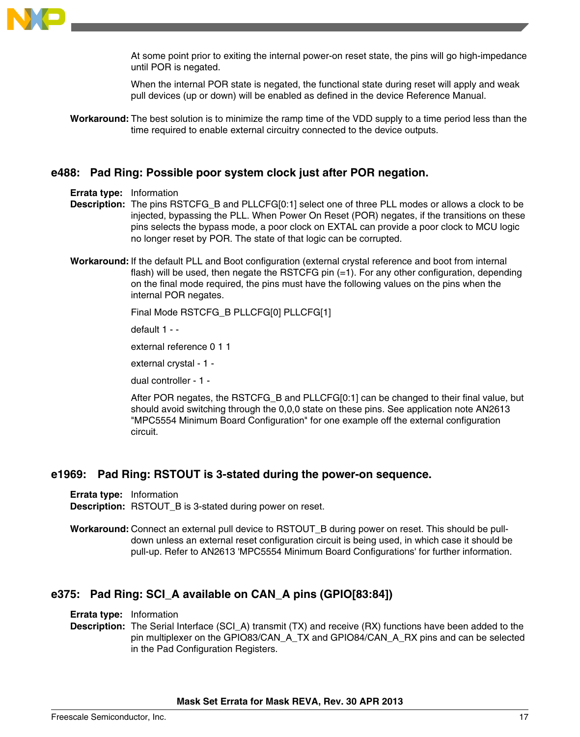

At some point prior to exiting the internal power-on reset state, the pins will go high-impedance until POR is negated.

When the internal POR state is negated, the functional state during reset will apply and weak pull devices (up or down) will be enabled as defined in the device Reference Manual.

**Workaround:** The best solution is to minimize the ramp time of the VDD supply to a time period less than the time required to enable external circuitry connected to the device outputs.

### **e488: Pad Ring: Possible poor system clock just after POR negation.**

#### **Errata type:** Information

- **Description:** The pins RSTCFG\_B and PLLCFG[0:1] select one of three PLL modes or allows a clock to be injected, bypassing the PLL. When Power On Reset (POR) negates, if the transitions on these pins selects the bypass mode, a poor clock on EXTAL can provide a poor clock to MCU logic no longer reset by POR. The state of that logic can be corrupted.
- **Workaround:** If the default PLL and Boot configuration (external crystal reference and boot from internal flash) will be used, then negate the RSTCFG pin  $(=1)$ . For any other configuration, depending on the final mode required, the pins must have the following values on the pins when the internal POR negates.

```
Final Mode RSTCFG_B PLLCFG[0] PLLCFG[1]
```
default 1 - -

external reference 0 1 1

external crystal - 1 -

dual controller - 1 -

After POR negates, the RSTCFG\_B and PLLCFG[0:1] can be changed to their final value, but should avoid switching through the 0,0,0 state on these pins. See application note AN2613 "MPC5554 Minimum Board Configuration" for one example off the external configuration circuit.

### **e1969: Pad Ring: RSTOUT is 3-stated during the power-on sequence.**

**Errata type:** Information **Description:** RSTOUT B is 3-stated during power on reset.

**Workaround:** Connect an external pull device to RSTOUT\_B during power on reset. This should be pulldown unless an external reset configuration circuit is being used, in which case it should be pull-up. Refer to AN2613 'MPC5554 Minimum Board Configurations' for further information.

# **e375: Pad Ring: SCI\_A available on CAN\_A pins (GPIO[83:84])**

**Errata type:** Information

**Description:** The Serial Interface (SCI\_A) transmit (TX) and receive (RX) functions have been added to the pin multiplexer on the GPIO83/CAN\_A\_TX and GPIO84/CAN\_A\_RX pins and can be selected in the Pad Configuration Registers.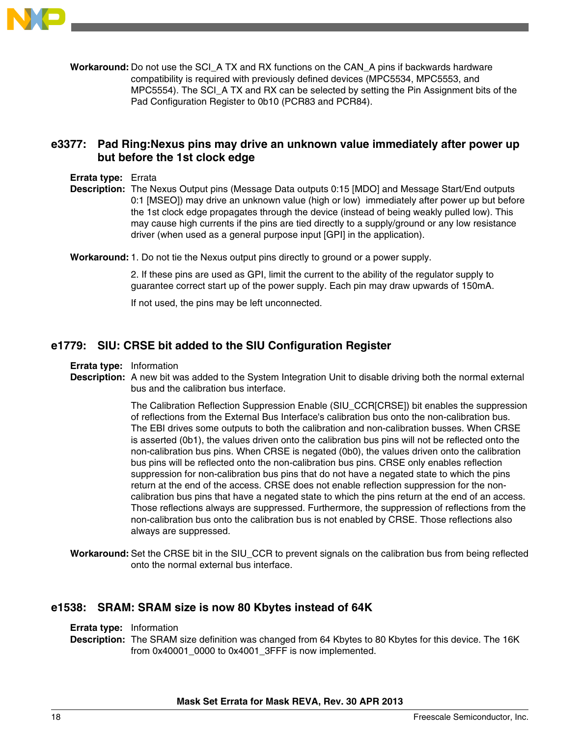

**Workaround:** Do not use the SCI\_A TX and RX functions on the CAN\_A pins if backwards hardware compatibility is required with previously defined devices (MPC5534, MPC5553, and MPC5554). The SCI A TX and RX can be selected by setting the Pin Assignment bits of the Pad Configuration Register to 0b10 (PCR83 and PCR84).

# **e3377: Pad Ring:Nexus pins may drive an unknown value immediately after power up but before the 1st clock edge**

#### **Errata type:** Errata

**Description:** The Nexus Output pins (Message Data outputs 0:15 [MDO] and Message Start/End outputs 0:1 [MSEO]) may drive an unknown value (high or low) immediately after power up but before the 1st clock edge propagates through the device (instead of being weakly pulled low). This may cause high currents if the pins are tied directly to a supply/ground or any low resistance driver (when used as a general purpose input [GPI] in the application).

**Workaround:**1. Do not tie the Nexus output pins directly to ground or a power supply.

2. If these pins are used as GPI, limit the current to the ability of the regulator supply to guarantee correct start up of the power supply. Each pin may draw upwards of 150mA.

If not used, the pins may be left unconnected.

### **e1779: SIU: CRSE bit added to the SIU Configuration Register**

#### **Errata type:** Information

**Description:** A new bit was added to the System Integration Unit to disable driving both the normal external bus and the calibration bus interface.

> The Calibration Reflection Suppression Enable (SIU\_CCR[CRSE]) bit enables the suppression of reflections from the External Bus Interface's calibration bus onto the non-calibration bus. The EBI drives some outputs to both the calibration and non-calibration busses. When CRSE is asserted (0b1), the values driven onto the calibration bus pins will not be reflected onto the non-calibration bus pins. When CRSE is negated (0b0), the values driven onto the calibration bus pins will be reflected onto the non-calibration bus pins. CRSE only enables reflection suppression for non-calibration bus pins that do not have a negated state to which the pins return at the end of the access. CRSE does not enable reflection suppression for the noncalibration bus pins that have a negated state to which the pins return at the end of an access. Those reflections always are suppressed. Furthermore, the suppression of reflections from the non-calibration bus onto the calibration bus is not enabled by CRSE. Those reflections also always are suppressed.

**Workaround:** Set the CRSE bit in the SIU\_CCR to prevent signals on the calibration bus from being reflected onto the normal external bus interface.

#### **e1538: SRAM: SRAM size is now 80 Kbytes instead of 64K**

**Errata type:** Information

**Description:** The SRAM size definition was changed from 64 Kbytes to 80 Kbytes for this device. The 16K from 0x40001\_0000 to 0x4001\_3FFF is now implemented.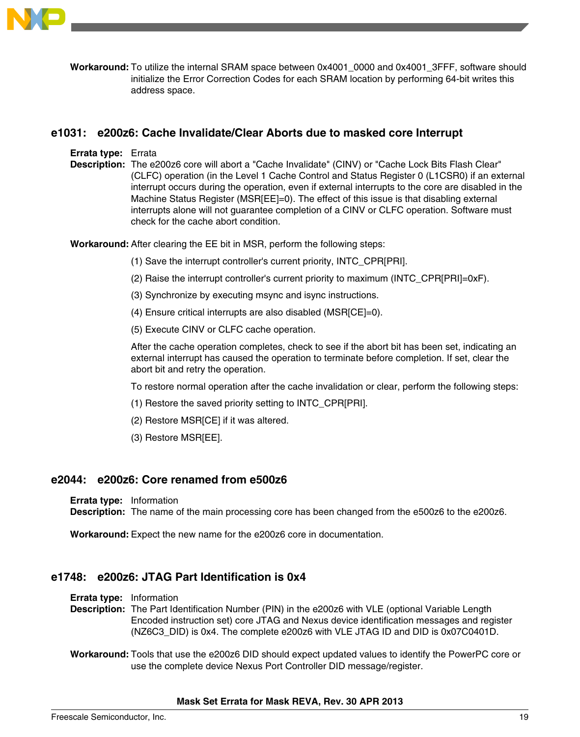

**Workaround:** To utilize the internal SRAM space between 0x4001\_0000 and 0x4001\_3FFF, software should initialize the Error Correction Codes for each SRAM location by performing 64-bit writes this address space.

# **e1031: e200z6: Cache Invalidate/Clear Aborts due to masked core Interrupt**

**Errata type:** Errata

**Description:** The e200z6 core will abort a "Cache Invalidate" (CINV) or "Cache Lock Bits Flash Clear" (CLFC) operation (in the Level 1 Cache Control and Status Register 0 (L1CSR0) if an external interrupt occurs during the operation, even if external interrupts to the core are disabled in the Machine Status Register (MSR[EE]=0). The effect of this issue is that disabling external interrupts alone will not guarantee completion of a CINV or CLFC operation. Software must check for the cache abort condition.

**Workaround:** After clearing the EE bit in MSR, perform the following steps:

- (1) Save the interrupt controller's current priority, INTC\_CPR[PRI].
- (2) Raise the interrupt controller's current priority to maximum (INTC\_CPR[PRI]=0xF).
- (3) Synchronize by executing msync and isync instructions.
- (4) Ensure critical interrupts are also disabled (MSR[CE]=0).
- (5) Execute CINV or CLFC cache operation.

After the cache operation completes, check to see if the abort bit has been set, indicating an external interrupt has caused the operation to terminate before completion. If set, clear the abort bit and retry the operation.

- To restore normal operation after the cache invalidation or clear, perform the following steps:
- (1) Restore the saved priority setting to INTC\_CPR[PRI].
- (2) Restore MSR[CE] if it was altered.
- (3) Restore MSR[EE].

### **e2044: e200z6: Core renamed from e500z6**

**Errata type:** Information

**Description:** The name of the main processing core has been changed from the e500z6 to the e200z6.

**Workaround:** Expect the new name for the e200z6 core in documentation.

### **e1748: e200z6: JTAG Part Identification is 0x4**

**Errata type:** Information

**Description:** The Part Identification Number (PIN) in the e200z6 with VLE (optional Variable Length Encoded instruction set) core JTAG and Nexus device identification messages and register (NZ6C3\_DID) is 0x4. The complete e200z6 with VLE JTAG ID and DID is 0x07C0401D.

**Workaround:** Tools that use the e200z6 DID should expect updated values to identify the PowerPC core or use the complete device Nexus Port Controller DID message/register.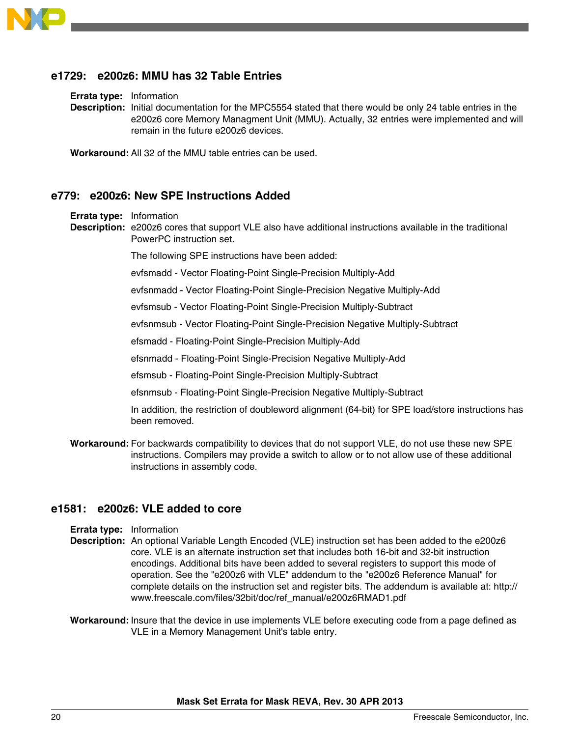

### **e1729: e200z6: MMU has 32 Table Entries**

**Errata type:** Information

**Description:** Initial documentation for the MPC5554 stated that there would be only 24 table entries in the e200z6 core Memory Managment Unit (MMU). Actually, 32 entries were implemented and will remain in the future e200z6 devices.

**Workaround:** All 32 of the MMU table entries can be used.

#### **e779: e200z6: New SPE Instructions Added**

**Errata type:** Information

**Description:** e200z6 cores that support VLE also have additional instructions available in the traditional PowerPC instruction set.

The following SPE instructions have been added:

evfsmadd - Vector Floating-Point Single-Precision Multiply-Add

evfsnmadd - Vector Floating-Point Single-Precision Negative Multiply-Add

evfsmsub - Vector Floating-Point Single-Precision Multiply-Subtract

evfsnmsub - Vector Floating-Point Single-Precision Negative Multiply-Subtract

efsmadd - Floating-Point Single-Precision Multiply-Add

efsnmadd - Floating-Point Single-Precision Negative Multiply-Add

efsmsub - Floating-Point Single-Precision Multiply-Subtract

efsnmsub - Floating-Point Single-Precision Negative Multiply-Subtract

In addition, the restriction of doubleword alignment (64-bit) for SPE load/store instructions has been removed.

**Workaround:** For backwards compatibility to devices that do not support VLE, do not use these new SPE instructions. Compilers may provide a switch to allow or to not allow use of these additional instructions in assembly code.

### **e1581: e200z6: VLE added to core**

- **Errata type:** Information
- **Description:** An optional Variable Length Encoded (VLE) instruction set has been added to the e200z6 core. VLE is an alternate instruction set that includes both 16-bit and 32-bit instruction encodings. Additional bits have been added to several registers to support this mode of operation. See the "e200z6 with VLE" addendum to the "e200z6 Reference Manual" for complete details on the instruction set and register bits. The addendum is available at: http:// www.freescale.com/files/32bit/doc/ref\_manual/e200z6RMAD1.pdf
- **Workaround:** Insure that the device in use implements VLE before executing code from a page defined as VLE in a Memory Management Unit's table entry.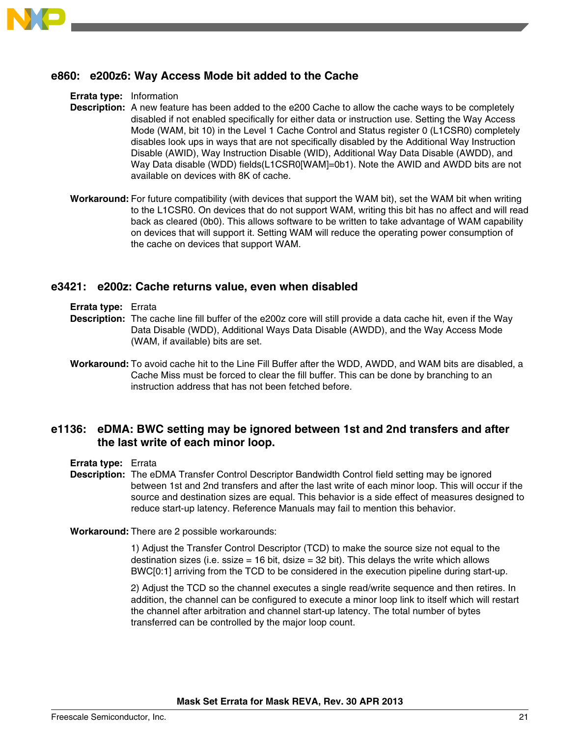

### **e860: e200z6: Way Access Mode bit added to the Cache**

**Errata type:** Information

- **Description:** A new feature has been added to the e200 Cache to allow the cache ways to be completely disabled if not enabled specifically for either data or instruction use. Setting the Way Access Mode (WAM, bit 10) in the Level 1 Cache Control and Status register 0 (L1CSR0) completely disables look ups in ways that are not specifically disabled by the Additional Way Instruction Disable (AWID), Way Instruction Disable (WID), Additional Way Data Disable (AWDD), and Way Data disable (WDD) fields(L1CSR0[WAM]=0b1). Note the AWID and AWDD bits are not available on devices with 8K of cache.
- **Workaround:** For future compatibility (with devices that support the WAM bit), set the WAM bit when writing to the L1CSR0. On devices that do not support WAM, writing this bit has no affect and will read back as cleared (0b0). This allows software to be written to take advantage of WAM capability on devices that will support it. Setting WAM will reduce the operating power consumption of the cache on devices that support WAM.

### **e3421: e200z: Cache returns value, even when disabled**

**Errata type:** Errata

- **Description:** The cache line fill buffer of the e200z core will still provide a data cache hit, even if the Way Data Disable (WDD), Additional Ways Data Disable (AWDD), and the Way Access Mode (WAM, if available) bits are set.
- **Workaround:** To avoid cache hit to the Line Fill Buffer after the WDD, AWDD, and WAM bits are disabled, a Cache Miss must be forced to clear the fill buffer. This can be done by branching to an instruction address that has not been fetched before.

### **e1136: eDMA: BWC setting may be ignored between 1st and 2nd transfers and after the last write of each minor loop.**

**Errata type:** Errata

**Description:** The eDMA Transfer Control Descriptor Bandwidth Control field setting may be ignored between 1st and 2nd transfers and after the last write of each minor loop. This will occur if the source and destination sizes are equal. This behavior is a side effect of measures designed to reduce start-up latency. Reference Manuals may fail to mention this behavior.

**Workaround:** There are 2 possible workarounds:

1) Adjust the Transfer Control Descriptor (TCD) to make the source size not equal to the destination sizes (i.e. ssize  $= 16$  bit, dsize  $= 32$  bit). This delays the write which allows BWC[0:1] arriving from the TCD to be considered in the execution pipeline during start-up.

2) Adjust the TCD so the channel executes a single read/write sequence and then retires. In addition, the channel can be configured to execute a minor loop link to itself which will restart the channel after arbitration and channel start-up latency. The total number of bytes transferred can be controlled by the major loop count.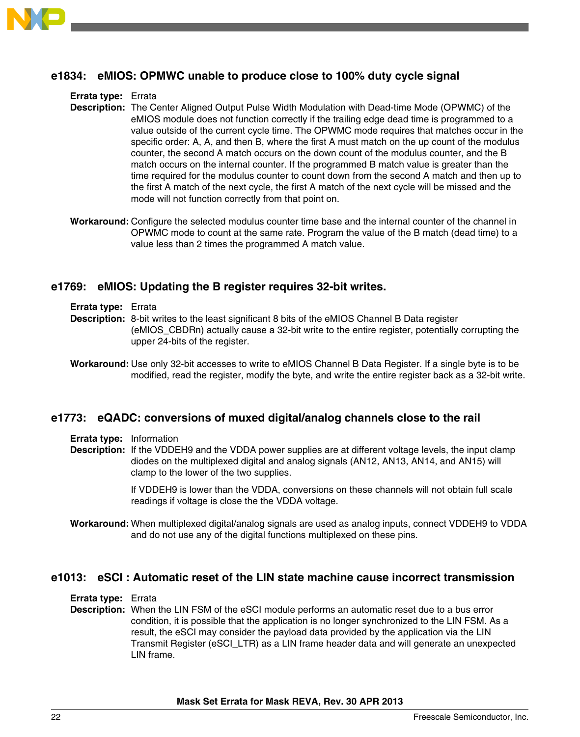

### **e1834: eMIOS: OPMWC unable to produce close to 100% duty cycle signal**

**Errata type:** Errata

- **Description:** The Center Aligned Output Pulse Width Modulation with Dead-time Mode (OPWMC) of the eMIOS module does not function correctly if the trailing edge dead time is programmed to a value outside of the current cycle time. The OPWMC mode requires that matches occur in the specific order: A, A, and then B, where the first A must match on the up count of the modulus counter, the second A match occurs on the down count of the modulus counter, and the B match occurs on the internal counter. If the programmed B match value is greater than the time required for the modulus counter to count down from the second A match and then up to the first A match of the next cycle, the first A match of the next cycle will be missed and the mode will not function correctly from that point on.
- **Workaround:** Configure the selected modulus counter time base and the internal counter of the channel in OPWMC mode to count at the same rate. Program the value of the B match (dead time) to a value less than 2 times the programmed A match value.

### **e1769: eMIOS: Updating the B register requires 32-bit writes.**

#### **Errata type:** Errata

- **Description:** 8-bit writes to the least significant 8 bits of the eMIOS Channel B Data register (eMIOS\_CBDRn) actually cause a 32-bit write to the entire register, potentially corrupting the upper 24-bits of the register.
- **Workaround:** Use only 32-bit accesses to write to eMIOS Channel B Data Register. If a single byte is to be modified, read the register, modify the byte, and write the entire register back as a 32-bit write.

### **e1773: eQADC: conversions of muxed digital/analog channels close to the rail**

**Errata type:** Information

**Description:** If the VDDEH9 and the VDDA power supplies are at different voltage levels, the input clamp diodes on the multiplexed digital and analog signals (AN12, AN13, AN14, and AN15) will clamp to the lower of the two supplies.

> If VDDEH9 is lower than the VDDA, conversions on these channels will not obtain full scale readings if voltage is close the the VDDA voltage.

**Workaround:** When multiplexed digital/analog signals are used as analog inputs, connect VDDEH9 to VDDA and do not use any of the digital functions multiplexed on these pins.

# **e1013: eSCI : Automatic reset of the LIN state machine cause incorrect transmission**

**Errata type:** Errata

**Description:** When the LIN FSM of the eSCI module performs an automatic reset due to a bus error condition, it is possible that the application is no longer synchronized to the LIN FSM. As a result, the eSCI may consider the payload data provided by the application via the LIN Transmit Register (eSCI\_LTR) as a LIN frame header data and will generate an unexpected LIN frame.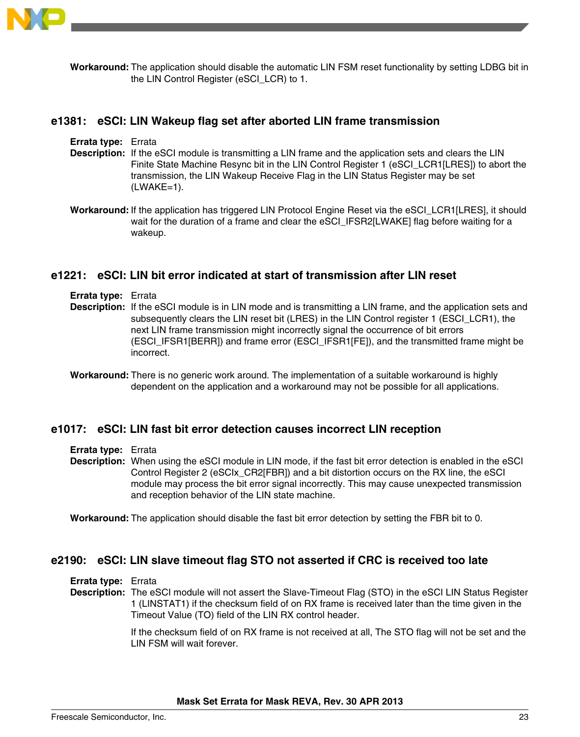

**Workaround:** The application should disable the automatic LIN FSM reset functionality by setting LDBG bit in the LIN Control Register (eSCI\_LCR) to 1.

#### **e1381: eSCI: LIN Wakeup flag set after aborted LIN frame transmission**

| <b>Errata type:</b> Errata |                                                                                                                                                                                                  |
|----------------------------|--------------------------------------------------------------------------------------------------------------------------------------------------------------------------------------------------|
|                            | <b>Description:</b> If the eSCI module is transmitting a LIN frame and the application sets and clears the LIN                                                                                   |
|                            | Finite State Machine Resync bit in the LIN Control Register 1 (eSCI_LCR1[LRES]) to abort the<br>transmission, the LIN Wakeup Receive Flag in the LIN Status Register may be set<br>$(LWAKE=1)$ . |

**Workaround:** If the application has triggered LIN Protocol Engine Reset via the eSCI\_LCR1[LRES], it should wait for the duration of a frame and clear the eSCI\_IFSR2[LWAKE] flag before waiting for a wakeup.

#### **e1221: eSCI: LIN bit error indicated at start of transmission after LIN reset**

- **Errata type:** Errata
- **Description:** If the eSCI module is in LIN mode and is transmitting a LIN frame, and the application sets and subsequently clears the LIN reset bit (LRES) in the LIN Control register 1 (ESCI\_LCR1), the next LIN frame transmission might incorrectly signal the occurrence of bit errors (ESCI\_IFSR1[BERR]) and frame error (ESCI\_IFSR1[FE]), and the transmitted frame might be incorrect.
- **Workaround:** There is no generic work around. The implementation of a suitable workaround is highly dependent on the application and a workaround may not be possible for all applications.

# **e1017: eSCI: LIN fast bit error detection causes incorrect LIN reception**

- **Errata type:** Errata
- **Description:** When using the eSCI module in LIN mode, if the fast bit error detection is enabled in the eSCI Control Register 2 (eSCIx\_CR2[FBR]) and a bit distortion occurs on the RX line, the eSCI module may process the bit error signal incorrectly. This may cause unexpected transmission and reception behavior of the LIN state machine.

**Workaround:** The application should disable the fast bit error detection by setting the FBR bit to 0.

# **e2190: eSCI: LIN slave timeout flag STO not asserted if CRC is received too late**

**Errata type:** Errata

**Description:** The eSCI module will not assert the Slave-Timeout Flag (STO) in the eSCI LIN Status Register 1 (LINSTAT1) if the checksum field of on RX frame is received later than the time given in the Timeout Value (TO) field of the LIN RX control header.

> If the checksum field of on RX frame is not received at all, The STO flag will not be set and the LIN FSM will wait forever.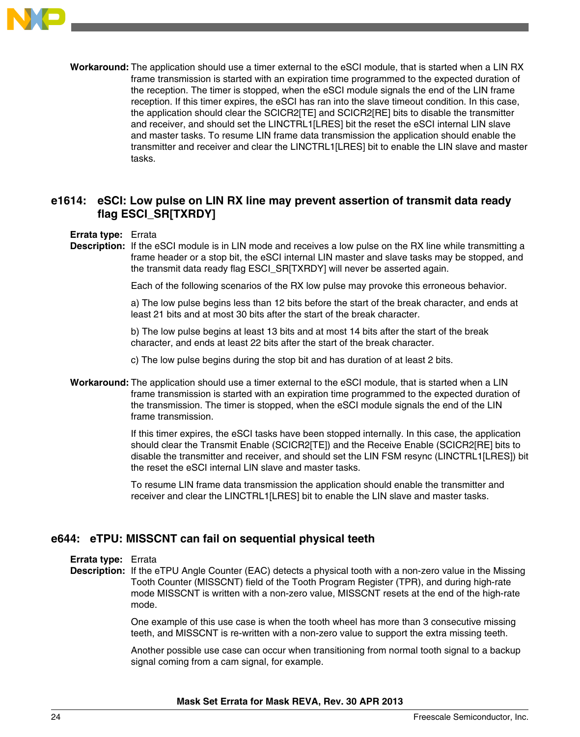

**Workaround:** The application should use a timer external to the eSCI module, that is started when a LIN RX frame transmission is started with an expiration time programmed to the expected duration of the reception. The timer is stopped, when the eSCI module signals the end of the LIN frame reception. If this timer expires, the eSCI has ran into the slave timeout condition. In this case, the application should clear the SCICR2[TE] and SCICR2[RE] bits to disable the transmitter and receiver, and should set the LINCTRL1[LRES] bit the reset the eSCI internal LIN slave and master tasks. To resume LIN frame data transmission the application should enable the transmitter and receiver and clear the LINCTRL1[LRES] bit to enable the LIN slave and master tasks.

# **e1614: eSCI: Low pulse on LIN RX line may prevent assertion of transmit data ready flag ESCI\_SR[TXRDY]**

#### **Errata type:** Errata

**Description:** If the eSCI module is in LIN mode and receives a low pulse on the RX line while transmitting a frame header or a stop bit, the eSCI internal LIN master and slave tasks may be stopped, and the transmit data ready flag ESCI\_SR[TXRDY] will never be asserted again.

Each of the following scenarios of the RX low pulse may provoke this erroneous behavior.

a) The low pulse begins less than 12 bits before the start of the break character, and ends at least 21 bits and at most 30 bits after the start of the break character.

b) The low pulse begins at least 13 bits and at most 14 bits after the start of the break character, and ends at least 22 bits after the start of the break character.

c) The low pulse begins during the stop bit and has duration of at least 2 bits.

**Workaround:** The application should use a timer external to the eSCI module, that is started when a LIN frame transmission is started with an expiration time programmed to the expected duration of the transmission. The timer is stopped, when the eSCI module signals the end of the LIN frame transmission.

> If this timer expires, the eSCI tasks have been stopped internally. In this case, the application should clear the Transmit Enable (SCICR2[TE]) and the Receive Enable (SCICR2[RE] bits to disable the transmitter and receiver, and should set the LIN FSM resync (LINCTRL1[LRES]) bit the reset the eSCI internal LIN slave and master tasks.

To resume LIN frame data transmission the application should enable the transmitter and receiver and clear the LINCTRL1[LRES] bit to enable the LIN slave and master tasks.

# **e644: eTPU: MISSCNT can fail on sequential physical teeth**

**Errata type:** Errata

**Description:** If the eTPU Angle Counter (EAC) detects a physical tooth with a non-zero value in the Missing Tooth Counter (MISSCNT) field of the Tooth Program Register (TPR), and during high-rate mode MISSCNT is written with a non-zero value, MISSCNT resets at the end of the high-rate mode.

> One example of this use case is when the tooth wheel has more than 3 consecutive missing teeth, and MISSCNT is re-written with a non-zero value to support the extra missing teeth.

Another possible use case can occur when transitioning from normal tooth signal to a backup signal coming from a cam signal, for example.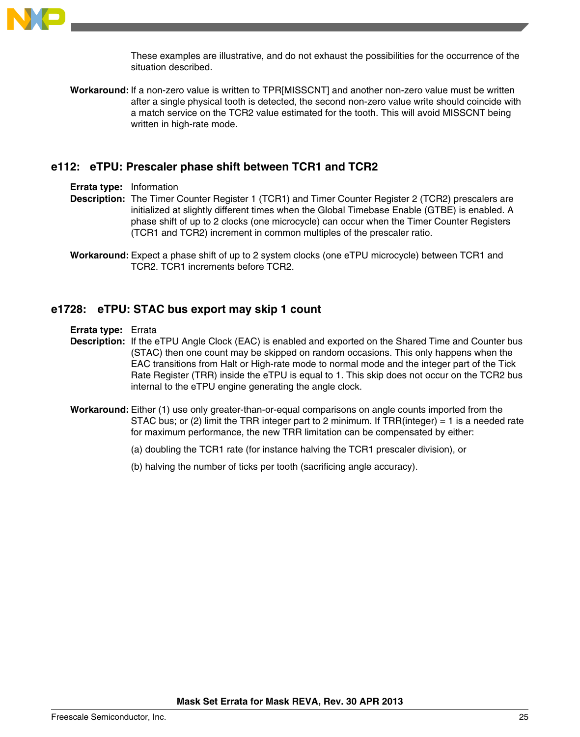

These examples are illustrative, and do not exhaust the possibilities for the occurrence of the situation described.

**Workaround:** If a non-zero value is written to TPR[MISSCNT] and another non-zero value must be written after a single physical tooth is detected, the second non-zero value write should coincide with a match service on the TCR2 value estimated for the tooth. This will avoid MISSCNT being written in high-rate mode.

#### **e112: eTPU: Prescaler phase shift between TCR1 and TCR2**

**Errata type:** Information

- **Description:** The Timer Counter Register 1 (TCR1) and Timer Counter Register 2 (TCR2) prescalers are initialized at slightly different times when the Global Timebase Enable (GTBE) is enabled. A phase shift of up to 2 clocks (one microcycle) can occur when the Timer Counter Registers (TCR1 and TCR2) increment in common multiples of the prescaler ratio.
- **Workaround:** Expect a phase shift of up to 2 system clocks (one eTPU microcycle) between TCR1 and TCR2. TCR1 increments before TCR2.

### **e1728: eTPU: STAC bus export may skip 1 count**

**Errata type:** Errata

- **Description:** If the eTPU Angle Clock (EAC) is enabled and exported on the Shared Time and Counter bus (STAC) then one count may be skipped on random occasions. This only happens when the EAC transitions from Halt or High-rate mode to normal mode and the integer part of the Tick Rate Register (TRR) inside the eTPU is equal to 1. This skip does not occur on the TCR2 bus internal to the eTPU engine generating the angle clock.
- **Workaround:** Either (1) use only greater-than-or-equal comparisons on angle counts imported from the STAC bus; or (2) limit the TRR integer part to 2 minimum. If TRR(integer) = 1 is a needed rate for maximum performance, the new TRR limitation can be compensated by either:
	- (a) doubling the TCR1 rate (for instance halving the TCR1 prescaler division), or
	- (b) halving the number of ticks per tooth (sacrificing angle accuracy).